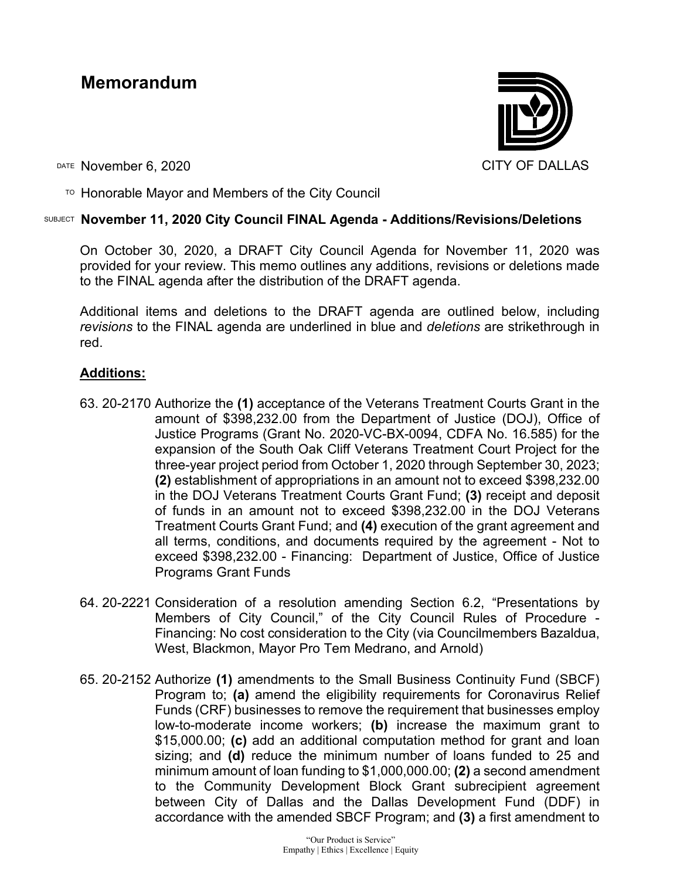# **Memorandum**



DATE November 6, 2020 CITY OF DALLAS

TO Honorable Mayor and Members of the City Council

## SUBJECT **November 11, 2020 City Council FINAL Agenda - Additions/Revisions/Deletions**

On October 30, 2020, a DRAFT City Council Agenda for November 11, 2020 was provided for your review. This memo outlines any additions, revisions or deletions made to the FINAL agenda after the distribution of the DRAFT agenda.

Additional items and deletions to the DRAFT agenda are outlined below, including *revisions* to the FINAL agenda are underlined in blue and *deletions* are strikethrough in red.

# **Additions:**

- 63. 20-2170 Authorize the **(1)** acceptance of the Veterans Treatment Courts Grant in the amount of \$398,232.00 from the Department of Justice (DOJ), Office of Justice Programs (Grant No. 2020-VC-BX-0094, CDFA No. 16.585) for the expansion of the South Oak Cliff Veterans Treatment Court Project for the three-year project period from October 1, 2020 through September 30, 2023; **(2)** establishment of appropriations in an amount not to exceed \$398,232.00 in the DOJ Veterans Treatment Courts Grant Fund; **(3)** receipt and deposit of funds in an amount not to exceed \$398,232.00 in the DOJ Veterans Treatment Courts Grant Fund; and **(4)** execution of the grant agreement and all terms, conditions, and documents required by the agreement - Not to exceed \$398,232.00 - Financing: Department of Justice, Office of Justice Programs Grant Funds
- 64. 20-2221 Consideration of a resolution amending Section 6.2, "Presentations by Members of City Council," of the City Council Rules of Procedure - Financing: No cost consideration to the City (via Councilmembers Bazaldua, West, Blackmon, Mayor Pro Tem Medrano, and Arnold)
- 65. 20-2152 Authorize **(1)** amendments to the Small Business Continuity Fund (SBCF) Program to; **(a)** amend the eligibility requirements for Coronavirus Relief Funds (CRF) businesses to remove the requirement that businesses employ low-to-moderate income workers; **(b)** increase the maximum grant to \$15,000.00; **(c)** add an additional computation method for grant and loan sizing; and **(d)** reduce the minimum number of loans funded to 25 and minimum amount of loan funding to \$1,000,000.00; **(2)** a second amendment to the Community Development Block Grant subrecipient agreement between City of Dallas and the Dallas Development Fund (DDF) in accordance with the amended SBCF Program; and **(3)** a first amendment to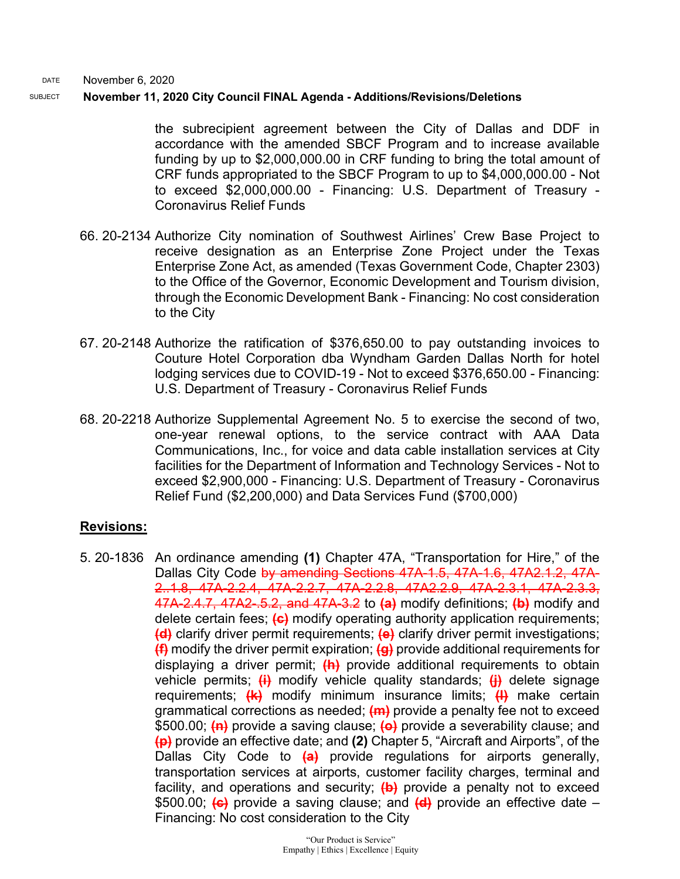DATE November 6, 2020

#### SUBJECT **November 11, 2020 City Council FINAL Agenda - Additions/Revisions/Deletions**

the subrecipient agreement between the City of Dallas and DDF in accordance with the amended SBCF Program and to increase available funding by up to \$2,000,000.00 in CRF funding to bring the total amount of CRF funds appropriated to the SBCF Program to up to \$4,000,000.00 - Not to exceed \$2,000,000.00 - Financing: U.S. Department of Treasury - Coronavirus Relief Funds

- 66. 20-2134 Authorize City nomination of Southwest Airlines' Crew Base Project to receive designation as an Enterprise Zone Project under the Texas Enterprise Zone Act, as amended (Texas Government Code, Chapter 2303) to the Office of the Governor, Economic Development and Tourism division, through the Economic Development Bank - Financing: No cost consideration to the City
- 67. 20-2148 Authorize the ratification of \$376,650.00 to pay outstanding invoices to Couture Hotel Corporation dba Wyndham Garden Dallas North for hotel lodging services due to COVID-19 - Not to exceed \$376,650.00 - Financing: U.S. Department of Treasury - Coronavirus Relief Funds
- 68. 20-2218 Authorize Supplemental Agreement No. 5 to exercise the second of two, one-year renewal options, to the service contract with AAA Data Communications, Inc., for voice and data cable installation services at City facilities for the Department of Information and Technology Services - Not to exceed \$2,900,000 - Financing: U.S. Department of Treasury - Coronavirus Relief Fund (\$2,200,000) and Data Services Fund (\$700,000)

## **Revisions:**

5. 20-1836 An ordinance amending **(1)** Chapter 47A, "Transportation for Hire," of the Dallas City Code by amending Sections 47A-1.5, 47A-1.6, 47A2.1.2, 47A-2..1.8, 47A-2.2.4, 47A-2.2.7, 47A-2.2.8, 47A2.2.9, 47A-2.3.1, 47A-2.3.3, 47A-2.4.7, 47A2-.5.2, and 47A-3.2 to **(a)** modify definitions; **(b)** modify and delete certain fees; **(c)** modify operating authority application requirements; **(d)** clarify driver permit requirements; **(e)** clarify driver permit investigations; **(f)** modify the driver permit expiration; **(g)** provide additional requirements for displaying a driver permit; **(h)** provide additional requirements to obtain vehicle permits; **(i)** modify vehicle quality standards; **(j)** delete signage requirements; **(k)** modify minimum insurance limits; **(l)** make certain grammatical corrections as needed; **(m)** provide a penalty fee not to exceed \$500.00; **(n)** provide a saving clause; **(o)** provide a severability clause; and **(p)** provide an effective date; and **(2)** Chapter 5, "Aircraft and Airports", of the Dallas City Code to **(a)** provide regulations for airports generally, transportation services at airports, customer facility charges, terminal and facility, and operations and security; **(b)** provide a penalty not to exceed \$500.00; **(c)** provide a saving clause; and **(d)** provide an effective date – Financing: No cost consideration to the City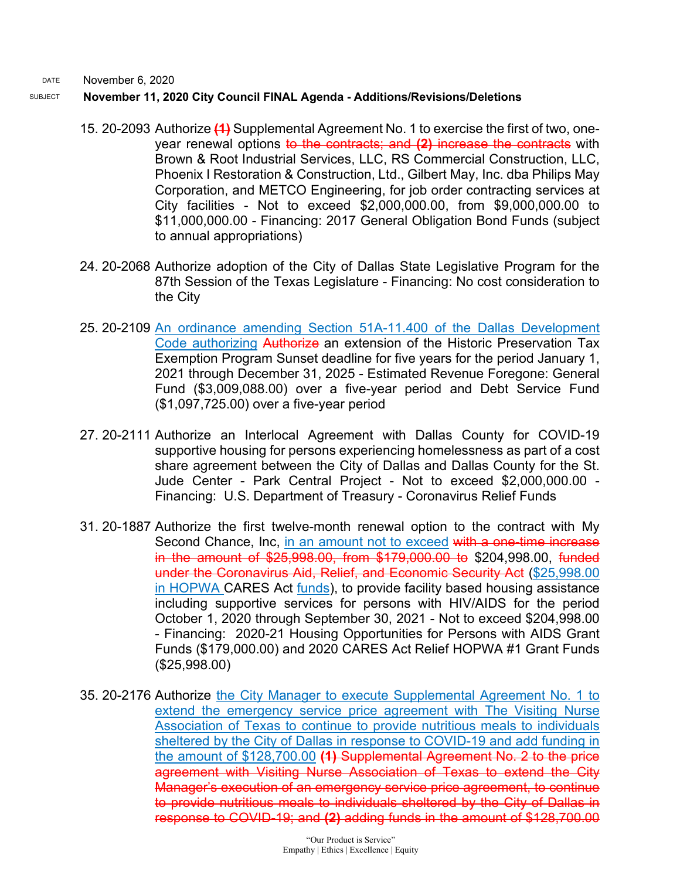DATE November 6, 2020

### SUBJECT **November 11, 2020 City Council FINAL Agenda - Additions/Revisions/Deletions**

- 15. 20-2093 Authorize **(1)** Supplemental Agreement No. 1 to exercise the first of two, oneyear renewal options to the contracts; and **(2)** increase the contracts with Brown & Root Industrial Services, LLC, RS Commercial Construction, LLC, Phoenix I Restoration & Construction, Ltd., Gilbert May, Inc. dba Philips May Corporation, and METCO Engineering, for job order contracting services at City facilities - Not to exceed \$2,000,000.00, from \$9,000,000.00 to \$11,000,000.00 - Financing: 2017 General Obligation Bond Funds (subject to annual appropriations)
- 24. 20-2068 Authorize adoption of the City of Dallas State Legislative Program for the 87th Session of the Texas Legislature - Financing: No cost consideration to the City
- 25. 20-2109 An ordinance amending Section 51A-11.400 of the Dallas Development Code authorizing Authorize an extension of the Historic Preservation Tax Exemption Program Sunset deadline for five years for the period January 1, 2021 through December 31, 2025 - Estimated Revenue Foregone: General Fund (\$3,009,088.00) over a five-year period and Debt Service Fund (\$1,097,725.00) over a five-year period
- 27. 20-2111 Authorize an Interlocal Agreement with Dallas County for COVID-19 supportive housing for persons experiencing homelessness as part of a cost share agreement between the City of Dallas and Dallas County for the St. Jude Center - Park Central Project - Not to exceed \$2,000,000.00 - Financing: U.S. Department of Treasury - Coronavirus Relief Funds
- 31. 20-1887 Authorize the first twelve-month renewal option to the contract with My Second Chance, Inc, in an amount not to exceed with a one-time increase in the amount of \$25,998.00, from \$179,000.00 to \$204,998.00, funded under the Coronavirus Aid, Relief, and Economic Security Act (\$25,998.00 in HOPWA CARES Act funds), to provide facility based housing assistance including supportive services for persons with HIV/AIDS for the period October 1, 2020 through September 30, 2021 - Not to exceed \$204,998.00 - Financing: 2020-21 Housing Opportunities for Persons with AIDS Grant Funds (\$179,000.00) and 2020 CARES Act Relief HOPWA #1 Grant Funds (\$25,998.00)
- 35. 20-2176 Authorize the City Manager to execute Supplemental Agreement No. 1 to extend the emergency service price agreement with The Visiting Nurse Association of Texas to continue to provide nutritious meals to individuals sheltered by the City of Dallas in response to COVID-19 and add funding in the amount of \$128,700.00 **(1)** Supplemental Agreement No. 2 to the price agreement with Visiting Nurse Association of Texas to extend the City Manager's execution of an emergency service price agreement, to continue to provide nutritious meals to individuals sheltered by the City of Dallas in response to COVID-19; and **(2)** adding funds in the amount of \$128,700.00